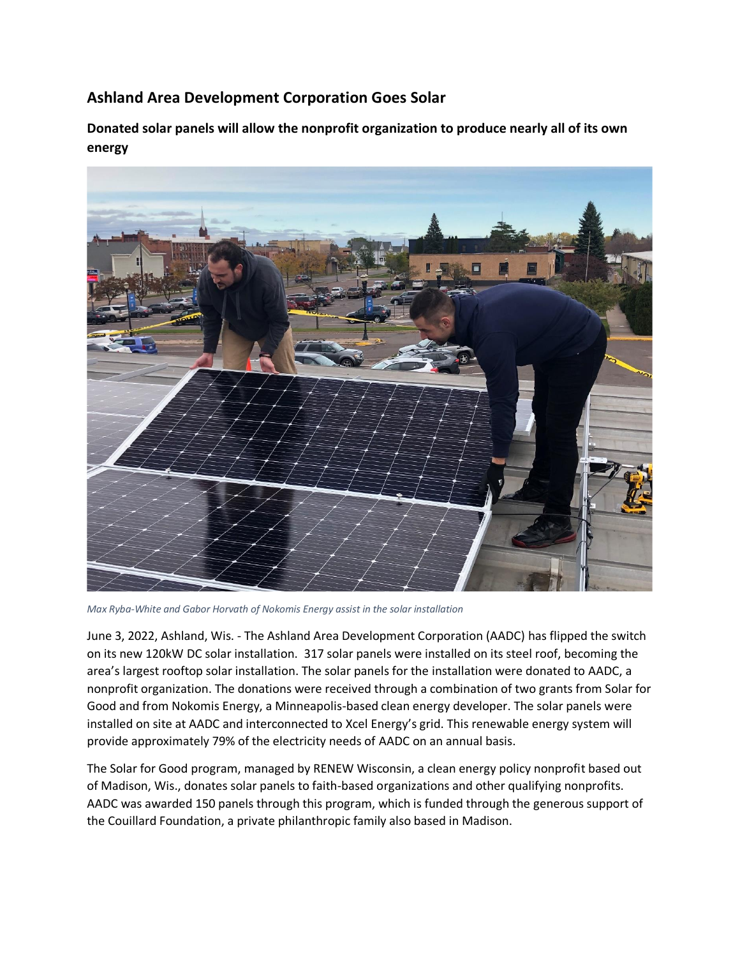## **Ashland Area Development Corporation Goes Solar**

**Donated solar panels will allow the nonprofit organization to produce nearly all of its own energy** 



*Max Ryba-White and Gabor Horvath of Nokomis Energy assist in the solar installation*

June 3, 2022, Ashland, Wis. - The Ashland Area Development Corporation (AADC) has flipped the switch on its new 120kW DC solar installation. 317 solar panels were installed on its steel roof, becoming the area's largest rooftop solar installation. The solar panels for the installation were donated to AADC, a nonprofit organization. The donations were received through a combination of two grants from Solar for Good and from Nokomis Energy, a Minneapolis-based clean energy developer. The solar panels were installed on site at AADC and interconnected to Xcel Energy's grid. This renewable energy system will provide approximately 79% of the electricity needs of AADC on an annual basis.

The Solar for Good program, managed by RENEW Wisconsin, a clean energy policy nonprofit based out of Madison, Wis., donates solar panels to faith-based organizations and other qualifying nonprofits. AADC was awarded 150 panels through this program, which is funded through the generous support of the Couillard Foundation, a private philanthropic family also based in Madison.